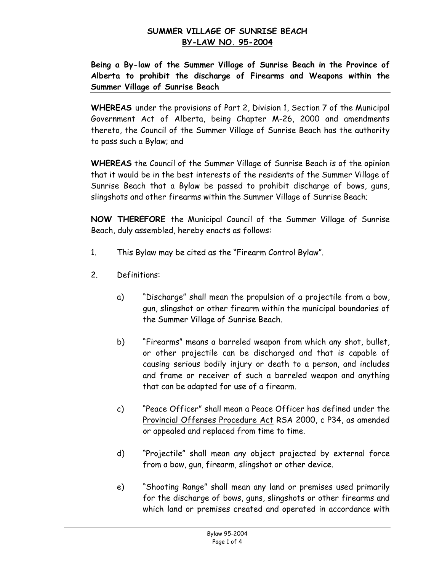# **Being a By-law of the Summer Village of Sunrise Beach in the Province of Alberta to prohibit the discharge of Firearms and Weapons within the Summer Village of Sunrise Beach**

**WHEREAS** under the provisions of Part 2, Division 1, Section 7 of the Municipal Government Act of Alberta, being Chapter M-26, 2000 and amendments thereto, the Council of the Summer Village of Sunrise Beach has the authority to pass such a Bylaw; and

**WHEREAS** the Council of the Summer Village of Sunrise Beach is of the opinion that it would be in the best interests of the residents of the Summer Village of Sunrise Beach that a Bylaw be passed to prohibit discharge of bows, guns, slingshots and other firearms within the Summer Village of Sunrise Beach;

**NOW THEREFORE** the Municipal Council of the Summer Village of Sunrise Beach, duly assembled, hereby enacts as follows:

- 1. This Bylaw may be cited as the "Firearm Control Bylaw".
- 2. Definitions:
	- a) "Discharge" shall mean the propulsion of a projectile from a bow, gun, slingshot or other firearm within the municipal boundaries of the Summer Village of Sunrise Beach.
	- b) "Firearms" means a barreled weapon from which any shot, bullet, or other projectile can be discharged and that is capable of causing serious bodily injury or death to a person, and includes and frame or receiver of such a barreled weapon and anything that can be adapted for use of a firearm.
	- c) "Peace Officer" shall mean a Peace Officer has defined under the Provincial Offenses Procedure Act RSA 2000, c P34, as amended or appealed and replaced from time to time.
	- d) "Projectile" shall mean any object projected by external force from a bow, gun, firearm, slingshot or other device.
	- e) "Shooting Range" shall mean any land or premises used primarily for the discharge of bows, guns, slingshots or other firearms and which land or premises created and operated in accordance with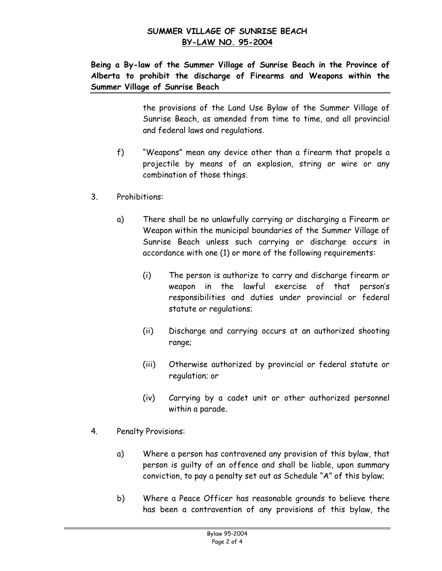**Being a By-law of the Summer Village of Sunrise Beach in the Province of Alberta to prohibit the discharge of Firearms and Weapons within the Summer Village of Sunrise Beach**

> the provisions of the Land Use Bylaw of the Summer Village of Sunrise Beach, as amended from time to time, and all provincial and federal laws and regulations.

- f) "Weapons" mean any device other than a firearm that propels a projectile by means of an explosion, string or wire or any combination of those things.
- 3. Prohibitions:
	- a) There shall be no unlawfully carrying or discharging a Firearm or Weapon within the municipal boundaries of the Summer Village of Sunrise Beach unless such carrying or discharge occurs in accordance with one (1) or more of the following requirements:
		- (i) The person is authorize to carry and discharge firearm or weapon in the lawful exercise of that person's responsibilities and duties under provincial or federal statute or regulations;
		- (ii) Discharge and carrying occurs at an authorized shooting range;
		- (iii) Otherwise authorized by provincial or federal statute or regulation; or
		- (iv) Carrying by a cadet unit or other authorized personnel within a parade.
- 4. Penalty Provisions:
	- a) Where a person has contravened any provision of this bylaw, that person is guilty of an offence and shall be liable, upon summary conviction, to pay a penalty set out as Schedule "A" of this bylaw;
	- b) Where a Peace Officer has reasonable grounds to believe there has been a contravention of any provisions of this bylaw, the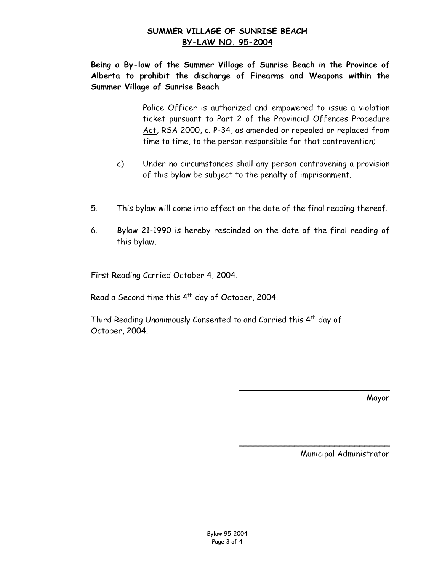**Being a By-law of the Summer Village of Sunrise Beach in the Province of Alberta to prohibit the discharge of Firearms and Weapons within the Summer Village of Sunrise Beach**

> Police Officer is authorized and empowered to issue a violation ticket pursuant to Part 2 of the Provincial Offences Procedure Act, RSA 2000, c. P-34, as amended or repealed or replaced from time to time, to the person responsible for that contravention;

- c) Under no circumstances shall any person contravening a provision of this bylaw be subject to the penalty of imprisonment.
- 5. This bylaw will come into effect on the date of the final reading thereof.
- 6. Bylaw 21-1990 is hereby rescinded on the date of the final reading of this bylaw.

First Reading Carried October 4, 2004.

Read a Second time this 4<sup>th</sup> day of October, 2004.

Third Reading Unanimously Consented to and Carried this 4<sup>th</sup> day of October, 2004.

Mayor

Municipal Administrator

\_\_\_\_\_\_\_\_\_\_\_\_\_\_\_\_\_\_\_\_\_\_\_\_\_\_\_\_\_\_

 $\overline{\phantom{a}}$